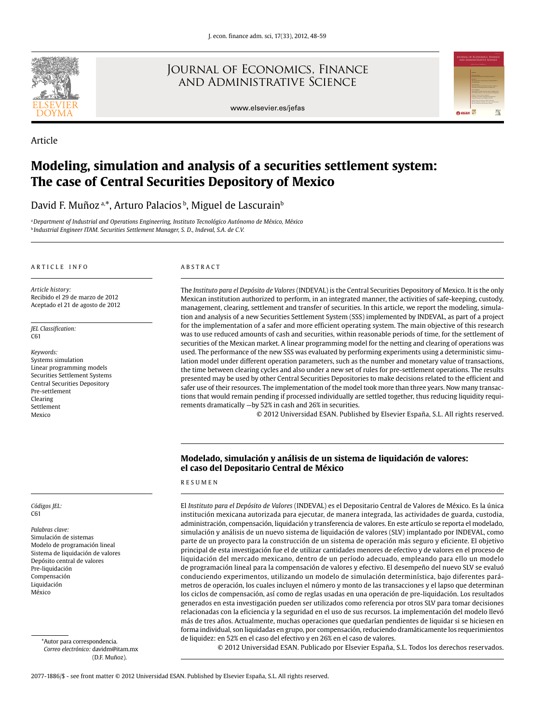

# Journal of Economics, Finance and Administrative Science

www.elsevier.es/jefas



# Article

# **Modeling, simulation and analysis of a securities settlement system: The case of Central Securities Depository of Mexico**

David F. Muñoz<sup>a,\*</sup>, Arturo Palacios<sup>b</sup>, Miguel de Lascurain<sup>b</sup>

<sup>a</sup>*Department of Industrial and Operations Engineering, Instituto Tecnológico Autónomo de México, México* b  *Industrial Engineer ITAM. Securities Settlement Manager, S. D., Indeval, S.A. de C.V.*

#### ARTICLE INFO

*Article history:* Recibido el 29 de marzo de 2012 Aceptado el 21 de agosto de 2012

*JEL Classification:* C61

*Keywords:* Systems simulation Linear programming models Securities Settlement Systems Central Securities Depository Pre-settlement Clearing Settlement Mexico

*Códigos JEL:* C61

*Palabras clave:* Simulación de sistemas Modelo de programación lineal Sistema de liquidación de valores Depósito central de valores Pre-liquidación Compensación Liquidación México

\* Autor para correspondencia. *Correo electrónico:* davidm@itam.mx (D.F. Muñoz).

ABSTRACT

The *Instituto para el Depósito de Valores* (INDEVAL) is the Central Securities Depository of Mexico. It is the only Mexican institution authorized to perform, in an integrated manner, the activities of safe-keeping, custody, management, clearing, settlement and transfer of securities. In this article, we report the modeling, simulation and analysis of a new Securities Settlement System (SSS) implemented by INDEVAL, as part of a project for the implementation of a safer and more efficient operating system. The main objective of this research was to use reduced amounts of cash and securities, within reasonable periods of time, for the settlement of securities of the Mexican market. A linear programming model for the netting and clearing of operations was used. The performance of the new SSS was evaluated by performing experiments using a deterministic simulation model under different operation parameters, such as the number and monetary value of transactions, the time between clearing cycles and also under a new set of rules for pre-settlement operations. The results presented may be used by other Central Securities Depositories to make decisions related to the efficient and safer use of their resources. The implementation of the model took more than three years. Now many transactions that would remain pending if processed individually are settled together, thus reducing liquidity requirements dramatically —by 52% in cash and 26% in securities.

© 2012 Universidad ESAN. Published by Elsevier España, S.L. All rights reserved.

# **Modelado, simulación y análisis de un sistema de liquidación de valores: el caso del Depositario Central de México**

# RESUMEN

El *Instituto para el Depósito de Valores* (INDEVAL) es el Depositario Central de Valores de México. Es la única institución mexicana autorizada para ejecutar, de manera integrada, las actividades de guarda, custodia, administración, compensación, liquidación y transferencia de valores. En este artículo se reporta el modelado, simulación y análisis de un nuevo sistema de liquidación de valores (SLV) implantado por INDEVAL, como parte de un proyecto para la construcción de un sistema de operación más seguro y eficiente. El objetivo principal de esta investigación fue el de utilizar cantidades menores de efectivo y de valores en el proceso de liquidación del mercado mexicano, dentro de un período adecuado, empleando para ello un modelo de programación lineal para la compensación de valores y efectivo. El desempeño del nuevo SLV se evaluó conduciendo experimentos, utilizando un modelo de simulación determinística, bajo diferentes parámetros de operación, los cuales incluyen el número y monto de las transacciones y el lapso que determinan los ciclos de compensación, así como de reglas usadas en una operación de pre-liquidación. Los resultados generados en esta investigación pueden ser utilizados como referencia por otros SLV para tomar decisiones relacionadas con la eficiencia y la seguridad en el uso de sus recursos. La implementación del modelo llevó más de tres años. Actualmente, muchas operaciones que quedarían pendientes de liquidar si se hiciesen en forma individual, son liquidadas en grupo, por compensación, reduciendo dramáticamente los requerimientos de liquidez: en 52% en el caso del efectivo y en 26% en el caso de valores.

© 2012 Universidad ESAN. Publicado por Elsevier España, S.L. Todos los derechos reservados.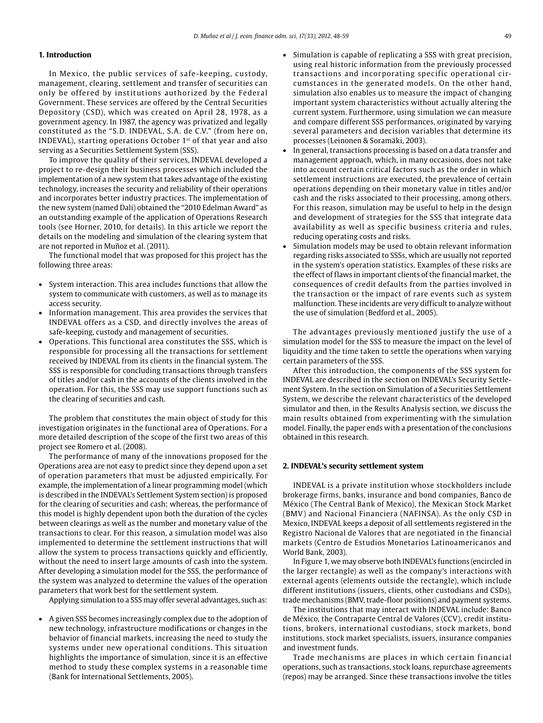# **1. Introduction**

In Mexico, the public services of safe-keeping, custody, management, clearing, settlement and transfer of securities can only be offered by institutions authorized by the Federal Government. These services are offered by the Central Securities Depository (CSD), which was created on April 28, 1978, as a government agency. In 1987, the agency was privatized and legally constituted as the "S.D. INDEVAL, S.A. de C.V." (from here on, INDEVAL), starting operations October 1st of that year and also serving as a Securities Settlement System (SSS).

To improve the quality of their services, INDEVAL developed a project to re-design their business processes which included the implementation of a new system that takes advantage of the existing technology, increases the security and reliability of their operations and incorporates better industry practices. The implementation of the new system (named Dali) obtained the "2010 Edelman Award" as an outstanding example of the application of Operations Research tools (see Horner, 2010, for details). In this article we report the details on the modeling and simulation of the clearing system that are not reported in Muñoz et al. (2011).

The functional model that was proposed for this project has the following three areas:

- System interaction. This area includes functions that allow the system to communicate with customers, as well as to manage its access security.
- Information management. This area provides the services that INDEVAL offers as a CSD, and directly involves the areas of safe-keeping, custody and management of securities.
- Operations. This functional area constitutes the SSS, which is responsible for processing all the transactions for settlement received by INDEVAL from its clients in the financial system. The SSS is responsible for concluding transactions through transfers of titles and/or cash in the accounts of the clients involved in the operation. For this, the SSS may use support functions such as the clearing of securities and cash.

The problem that constitutes the main object of study for this investigation originates in the functional area of Operations. For a more detailed description of the scope of the first two areas of this project see Romero et al. (2008).

The performance of many of the innovations proposed for the Operations area are not easy to predict since they depend upon a set of operation parameters that must be adjusted empirically. For example, the implementation of a linear programming model (which is described in the INDEVAL's Settlement System section) is proposed for the clearing of securities and cash; whereas, the performance of this model is highly dependent upon both the duration of the cycles between clearings as well as the number and monetary value of the transactions to clear. For this reason, a simulation model was also implemented to determine the settlement instructions that will allow the system to process transactions quickly and efficiently, without the need to insert large amounts of cash into the system. After developing a simulation model for the SSS, the performance of the system was analyzed to determine the values of the operation parameters that work best for the settlement system.

Applying simulation to a SSS may offer several advantages, such as:

• A given SSS becomes increasingly complex due to the adoption of new technology, infrastructure modifications or changes in the behavior of financial markets, increasing the need to study the systems under new operational conditions. This situation highlights the importance of simulation, since it is an effective method to study these complex systems in a reasonable time (Bank for International Settlements, 2005).

- Simulation is capable of replicating a SSS with great precision, using real historic information from the previously processed transactions and incorporating specific operational circumstances in the generated models. On the other hand, simulation also enables us to measure the impact of changing important system characteristics without actually altering the current system. Furthermore, using simulation we can measure and compare different SSS performances, originated by varying several parameters and decision variables that determine its processes (Leinonen & Soramäki, 2003).
- In general, transactions processing is based on a data transfer and management approach, which, in many occasions, does not take into account certain critical factors such as the order in which settlement instructions are executed, the prevalence of certain operations depending on their monetary value in titles and/or cash and the risks associated to their processing, among others. For this reason, simulation may be useful to help in the design and development of strategies for the SSS that integrate data availability as well as specific business criteria and rules, reducing operating costs and risks.
- Simulation models may be used to obtain relevant information regarding risks associated to SSSs, which are usually not reported in the system's operation statistics. Examples of these risks are the effect of flaws in important clients of the financial market, the consequences of credit defaults from the parties involved in the transaction or the impact of rare events such as system malfunction. These incidents are very difficult to analyze without the use of simulation (Bedford et al., 2005).

The advantages previously mentioned justify the use of a simulation model for the SSS to measure the impact on the level of liquidity and the time taken to settle the operations when varying certain parameters of the SSS.

After this introduction, the components of the SSS system for INDEVAL are described in the section on INDEVAL's Security Settlement System. In the section on Simulation of a Securities Settlement System, we describe the relevant characteristics of the developed simulator and then, in the Results Analysis section, we discuss the main results obtained from experimenting with the simulation model. Finally, the paper ends with a presentation of the conclusions obtained in this research.

#### **2. INDEVAL's security settlement system**

INDEVAL is a private institution whose stockholders include brokerage firms, banks, insurance and bond companies, Banco de México (The Central Bank of Mexico), the Mexican Stock Market (BMV) and Nacional Financiera (NAFINSA). As the only CSD in Mexico, INDEVAL keeps a deposit of all settlements registered in the Registro Nacional de Valores that are negotiated in the financial markets (Centro de Estudios Monetarios Latinoamericanos and World Bank, 2003).

In Figure 1, we may observe both INDEVAL's functions (encircled in the larger rectangle) as well as the company's interactions with external agents (elements outside the rectangle), which include different institutions (issuers, clients, other custodians and CSDs), trade mechanisms (BMV, trade-floor positions) and payment systems.

The institutions that may interact with INDEVAL include: Banco de México, the Contraparte Central de Valores (CCV), credit institutions, brokers, international custodians, stock markets, bond institutions, stock market specialists, issuers, insurance companies and investment funds.

Trade mechanisms are places in which certain financial operations, such as transactions, stock loans, repurchase agreements (repos) may be arranged. Since these transactions involve the titles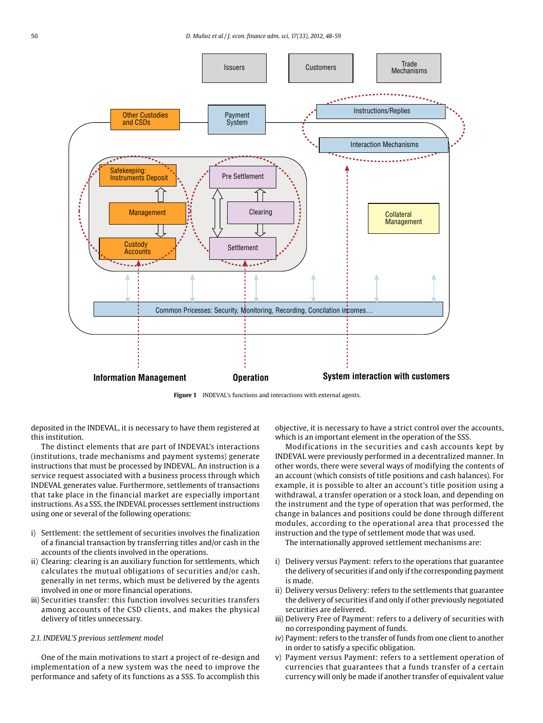

**Figure 1** INDEVAL's functions and interactions with external agents.

deposited in the INDEVAL, it is necessary to have them registered at this institution.

The distinct elements that are part of INDEVAL's interactions (institutions, trade mechanisms and payment systems) generate instructions that must be processed by INDEVAL. An instruction is a service request associated with a business process through which INDEVAL generates value. Furthermore, settlements of transactions that take place in the financial market are especially important instructions. As a SSS, the INDEVAL processes settlement instructions using one or several of the following operations:

- i) Settlement: the settlement of securities involves the finalization of a financial transaction by transferring titles and/or cash in the accounts of the clients involved in the operations.
- ii) Clearing: clearing is an auxiliary function for settlements, which calculates the mutual obligations of securities and/or cash, generally in net terms, which must be delivered by the agents involved in one or more financial operations.
- iii) Securities transfer: this function involves securities transfers among accounts of the CSD clients, and makes the physical delivery of titles unnecessary.

#### *2.1. INDEVAL'S previous settlement model*

One of the main motivations to start a project of re-design and implementation of a new system was the need to improve the performance and safety of its functions as a SSS. To accomplish this objective, it is necessary to have a strict control over the accounts, which is an important element in the operation of the SSS.

Modifications in the securities and cash accounts kept by INDEVAL were previously performed in a decentralized manner. In other words, there were several ways of modifying the contents of an account (which consists of title positions and cash balances). For example, it is possible to alter an account's title position using a withdrawal, a transfer operation or a stock loan, and depending on the instrument and the type of operation that was performed, the change in balances and positions could be done through different modules, according to the operational area that processed the instruction and the type of settlement mode that was used.

The internationally approved settlement mechanisms are:

- i) Delivery versus Payment: refers to the operations that guarantee the delivery of securities if and only if the corresponding payment is made.
- ii) Delivery versus Delivery: refers to the settlements that guarantee the delivery of securities if and only if other previously negotiated securities are delivered.
- iii) Delivery Free of Payment: refers to a delivery of securities with no corresponding payment of funds.
- iv) Payment: refers to the transfer of funds from one client to another in order to satisfy a specific obligation.
- v) Payment versus Payment: refers to a settlement operation of currencies that guarantees that a funds transfer of a certain currency will only be made if another transfer of equivalent value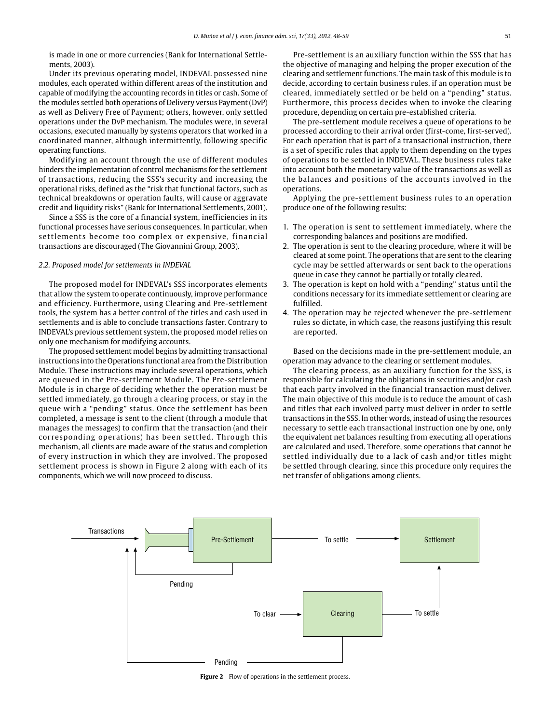is made in one or more currencies (Bank for International Settlements, 2003).

Under its previous operating model, INDEVAL possessed nine modules, each operated within different areas of the institution and capable of modifying the accounting records in titles or cash. Some of the modules settled both operations of Delivery versus Payment (DvP) as well as Delivery Free of Payment; others, however, only settled operations under the DvP mechanism. The modules were, in several occasions, executed manually by systems operators that worked in a coordinated manner, although intermittently, following specific operating functions.

Modifying an account through the use of different modules hinders the implementation of control mechanisms for the settlement of transactions, reducing the SSS's security and increasing the operational risks, defined as the "risk that functional factors, such as technical breakdowns or operation faults, will cause or aggravate credit and liquidity risks" (Bank for International Settlements, 2001).

Since a SSS is the core of a financial system, inefficiencies in its functional processes have serious consequences. In particular, when settlements become too complex or expensive, financial transactions are discouraged (The Giovannini Group, 2003).

#### *2.2. Proposed model for settlements in INDEVAL*

The proposed model for INDEVAL's SSS incorporates elements that allow the system to operate continuously, improve performance and efficiency. Furthermore, using Clearing and Pre-settlement tools, the system has a better control of the titles and cash used in settlements and is able to conclude transactions faster. Contrary to INDEVAL's previous settlement system, the proposed model relies on only one mechanism for modifying accounts.

The proposed settlement model begins by admitting transactional instructions into the Operations functional area from the Distribution Module. These instructions may include several operations, which are queued in the Pre-settlement Module. The Pre-settlement Module is in charge of deciding whether the operation must be settled immediately, go through a clearing process, or stay in the queue with a "pending" status. Once the settlement has been completed, a message is sent to the client (through a module that manages the messages) to confirm that the transaction (and their corresponding operations) has been settled. Through this mechanism, all clients are made aware of the status and completion of every instruction in which they are involved. The proposed settlement process is shown in Figure 2 along with each of its components, which we will now proceed to discuss.

Pre-settlement is an auxiliary function within the SSS that has the objective of managing and helping the proper execution of the clearing and settlement functions. The main task of this module is to decide, according to certain business rules, if an operation must be cleared, immediately settled or be held on a "pending" status. Furthermore, this process decides when to invoke the clearing procedure, depending on certain pre-established criteria.

The pre-settlement module receives a queue of operations to be processed according to their arrival order (first-come, first-served). For each operation that is part of a transactional instruction, there is a set of specific rules that apply to them depending on the types of operations to be settled in INDEVAL. These business rules take into account both the monetary value of the transactions as well as the balances and positions of the accounts involved in the operations.

Applying the pre-settlement business rules to an operation produce one of the following results:

- 1. The operation is sent to settlement immediately, where the corresponding balances and positions are modified.
- 2. The operation is sent to the clearing procedure, where it will be cleared at some point. The operations that are sent to the clearing cycle may be settled afterwards or sent back to the operations queue in case they cannot be partially or totally cleared.
- 3. The operation is kept on hold with a "pending" status until the conditions necessary for its immediate settlement or clearing are fulfilled.
- 4. The operation may be rejected whenever the pre-settlement rules so dictate, in which case, the reasons justifying this result are reported.

Based on the decisions made in the pre-settlement module, an operation may advance to the clearing or settlement modules.

The clearing process, as an auxiliary function for the SSS, is responsible for calculating the obligations in securities and/or cash that each party involved in the financial transaction must deliver. The main objective of this module is to reduce the amount of cash and titles that each involved party must deliver in order to settle transactions in the SSS. In other words, instead of using the resources necessary to settle each transactional instruction one by one, only the equivalent net balances resulting from executing all operations are calculated and used. Therefore, some operations that cannot be settled individually due to a lack of cash and/or titles might be settled through clearing, since this procedure only requires the net transfer of obligations among clients.



Figure 2 Flow of operations in the settlement process.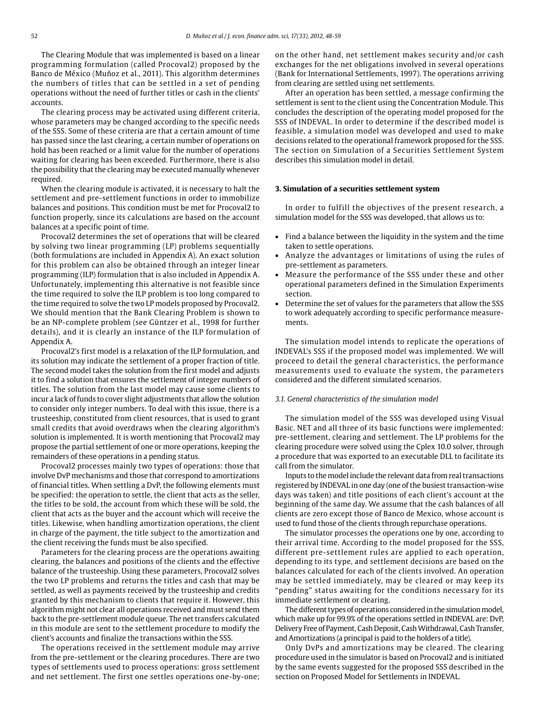The Clearing Module that was implemented is based on a linear programming formulation (called Procoval2) proposed by the Banco de México (Muñoz et al., 2011). This algorithm determines the numbers of titles that can be settled in a set of pending operations without the need of further titles or cash in the clients' accounts.

The clearing process may be activated using different criteria, whose parameters may be changed according to the specific needs of the SSS. Some of these criteria are that a certain amount of time has passed since the last clearing, a certain number of operations on hold has been reached or a limit value for the number of operations waiting for clearing has been exceeded. Furthermore, there is also the possibility that the clearing may be executed manually whenever required.

When the clearing module is activated, it is necessary to halt the settlement and pre-settlement functions in order to immobilize balances and positions. This condition must be met for Procoval2 to function properly, since its calculations are based on the account balances at a specific point of time.

Procoval2 determines the set of operations that will be cleared by solving two linear programming (LP) problems sequentially (both formulations are included in Appendix A). An exact solution for this problem can also be obtained through an integer linear programming (ILP) formulation that is also included in Appendix A. Unfortunately, implementing this alternative is not feasible since the time required to solve the ILP problem is too long compared to the time required to solve the two LP models proposed by Procoval2. We should mention that the Bank Clearing Problem is shown to be an NP-complete problem (see Güntzer et al., 1998 for further details), and it is clearly an instance of the ILP formulation of Appendix A.

Procoval2's first model is a relaxation of the ILP formulation, and its solution may indicate the settlement of a proper fraction of title. The second model takes the solution from the first model and adjusts it to find a solution that ensures the settlement of integer numbers of titles. The solution from the last model may cause some clients to incur a lack of funds to cover slight adjustments that allow the solution to consider only integer numbers. To deal with this issue, there is a trusteeship, constituted from client resources, that is used to grant small credits that avoid overdraws when the clearing algorithm's solution is implemented. It is worth mentioning that Procoval2 may propose the partial settlement of one or more operations, keeping the remainders of these operations in a pending status.

Procoval2 processes mainly two types of operations: those that involve DvP mechanisms and those that correspond to amortizations of financial titles. When settling a DvP, the following elements must be specified: the operation to settle, the client that acts as the seller, the titles to be sold, the account from which these will be sold, the client that acts as the buyer and the account which will receive the titles. Likewise, when handling amortization operations, the client in charge of the payment, the title subject to the amortization and the client receiving the funds must be also specified.

Parameters for the clearing process are the operations awaiting clearing, the balances and positions of the clients and the effective balance of the trusteeship. Using these parameters, Procoval2 solves the two LP problems and returns the titles and cash that may be settled, as well as payments received by the trusteeship and credits granted by this mechanism to clients that require it. However, this algorithm might not clear all operations received and must send them back to the pre-settlement module queue. The net transfers calculated in this module are sent to the settlement procedure to modify the client's accounts and finalize the transactions within the SSS.

The operations received in the settlement module may arrive from the pre-settlement or the clearing procedures. There are two types of settlements used to process operations: gross settlement and net settlement. The first one settles operations one-by-one; on the other hand, net settlement makes security and/or cash exchanges for the net obligations involved in several operations (Bank for International Settlements, 1997). The operations arriving from clearing are settled using net settlements.

After an operation has been settled, a message confirming the settlement is sent to the client using the Concentration Module. This concludes the description of the operating model proposed for the SSS of INDEVAL. In order to determine if the described model is feasible, a simulation model was developed and used to make decisions related to the operational framework proposed for the SSS. The section on Simulation of a Securities Settlement System describes this simulation model in detail.

# **3. Simulation of a securities settlement system**

In order to fulfill the objectives of the present research, a simulation model for the SSS was developed, that allows us to:

- Find a balance between the liquidity in the system and the time taken to settle operations.
- Analyze the advantages or limitations of using the rules of pre-settlement as parameters.
- Measure the performance of the SSS under these and other operational parameters defined in the Simulation Experiments section.
- Determine the set of values for the parameters that allow the SSS to work adequately according to specific performance measurements.

The simulation model intends to replicate the operations of INDEVAL's SSS if the proposed model was implemented. We will proceed to detail the general characteristics, the performance measurements used to evaluate the system, the parameters considered and the different simulated scenarios.

#### *3.1. General characteristics of the simulation model*

The simulation model of the SSS was developed using Visual Basic. NET and all three of its basic functions were implemented: pre-settlement, clearing and settlement. The LP problems for the clearing procedure were solved using the Cplex 10.0 solver, through a procedure that was exported to an executable DLL to facilitate its call from the simulator.

Inputs to the model include the relevant data from real transactions registered by INDEVAL in one day (one of the busiest transaction-wise days was taken) and title positions of each client's account at the beginning of the same day. We assume that the cash balances of all clients are zero except those of Banco de Mexico, whose account is used to fund those of the clients through repurchase operations.

The simulator processes the operations one by one, according to their arrival time. According to the model proposed for the SSS, different pre-settlement rules are applied to each operation, depending to its type, and settlement decisions are based on the balances calculated for each of the clients involved. An operation may be settled immediately, may be cleared or may keep its "pending" status awaiting for the conditions necessary for its immediate settlement or clearing.

The different types of operations considered in the simulation model, which make up for 99.9% of the operations settled in INDEVAL are: DvP, Delivery Free of Payment, Cash Deposit, Cash Withdrawal, Cash Transfer, and Amortizations (a principal is paid to the holders of a title).

Only DvPs and amortizations may be cleared. The clearing procedure used in the simulator is based on Procoval2 and is initiated by the same events suggested for the proposed SSS described in the section on Proposed Model for Settlements in INDEVAL*.*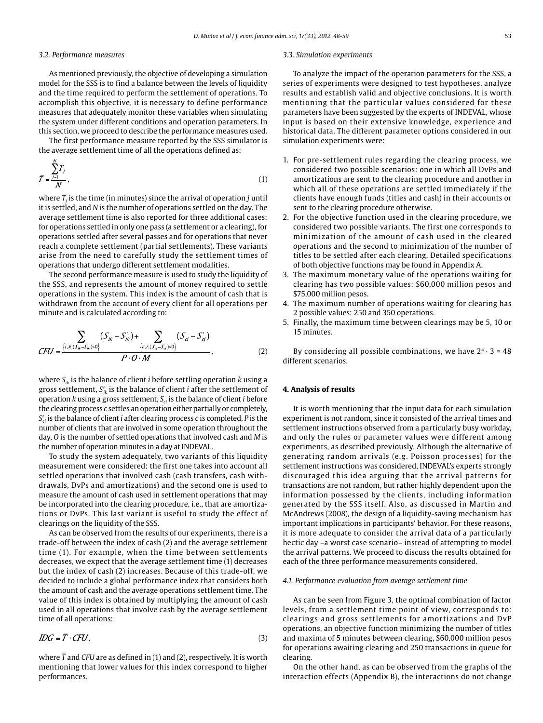#### *3.2. Performance measures*

As mentioned previously, the objective of developing a simulation model for the SSS is to find a balance between the levels of liquidity and the time required to perform the settlement of operations. To accomplish this objective, it is necessary to define performance measures that adequately monitor these variables when simulating the system under different conditions and operation parameters. In this section, we proceed to describe the performance measures used.

The first performance measure reported by the SSS simulator is the average settlement time of all the operations defined as:

$$
\overline{T} = \frac{\sum_{j=1}^{N} T_j}{N},\tag{1}
$$

where *T<sup>j</sup>* is the time (in minutes) since the arrival of operation *j* until it is settled, and *N* is the number of operations settled on the day. The average settlement time is also reported for three additional cases: for operations settled in only one pass (a settlement or a clearing), for operations settled after several passes and for operations that never reach a complete settlement (partial settlements). These variants arise from the need to carefully study the settlement times of operations that undergo different settlement modalities.

The second performance measure is used to study the liquidity of the SSS, and represents the amount of money required to settle operations in the system. This index is the amount of cash that is withdrawn from the account of every client for all operations per minute and is calculated according to:

$$
CFU = \frac{\sum_{\{i,k:(S_{ik}-S'_{ik})>0\}} (S_{ik} - S'_{ik}) + \sum_{\{c,i:(S_{ci}-S'_{ci})>0\}} (S_{ci} - S'_{ci})}{P \cdot O \cdot M},
$$
(2)

where *Sik* is the balance of client *i* before settling operation *k* using a gross settlement, *S*′ *ik* is the balance of client *i* after the settlement of operation *k* using a gross settlement, *Sci* is the balance of client *i* before the clearing process *c* settles an operation either partially or completely, *S*′ *ci* is the balance of client *i* after clearing process *c* is completed, *P* is the number of clients that are involved in some operation throughout the day, *O* is the number of settled operations that involved cash and *M* is the number of operation minutes in a day at INDEVAL.

To study the system adequately, two variants of this liquidity measurement were considered: the first one takes into account all settled operations that involved cash (cash transfers, cash withdrawals, DvPs and amortizations) and the second one is used to measure the amount of cash used in settlement operations that may be incorporated into the clearing procedure, i.e., that are amortizations or DvPs. This last variant is useful to study the effect of clearings on the liquidity of the SSS.

As can be observed from the results of our experiments, there is a trade-off between the index of cash (2) and the average settlement time (1). For example, when the time between settlements decreases, we expect that the average settlement time (1) decreases but the index of cash (2) increases. Because of this trade-off, we decided to include a global performance index that considers both the amount of cash and the average operations settlement time. The value of this index is obtained by multiplying the amount of cash used in all operations that involve cash by the average settlement time of all operations:

$$
IDG = \overline{T} \cdot CFU,\tag{3}
$$

where *T* \_ and *CFU* are as defined in (1) and (2), respectively. It is worth mentioning that lower values for this index correspond to higher performances.

#### *3.3. Simulation experiments*

To analyze the impact of the operation parameters for the SSS, a series of experiments were designed to test hypotheses, analyze results and establish valid and objective conclusions. It is worth mentioning that the particular values considered for these parameters have been suggested by the experts of INDEVAL, whose input is based on their extensive knowledge, experience and historical data. The different parameter options considered in our simulation experiments were:

- 1. For pre-settlement rules regarding the clearing process, we considered two possible scenarios: one in which all DvPs and amortizations are sent to the clearing procedure and another in which all of these operations are settled immediately if the clients have enough funds (titles and cash) in their accounts or sent to the clearing procedure otherwise.
- 2. For the objective function used in the clearing procedure, we considered two possible variants. The first one corresponds to minimization of the amount of cash used in the cleared operations and the second to minimization of the number of titles to be settled after each clearing. Detailed specifications of both objective functions may be found in Appendix A.
- 3. The maximum monetary value of the operations waiting for clearing has two possible values: \$60,000 million pesos and \$75,000 million pesos.
- 4. The maximum number of operations waiting for clearing has 2 possible values: 250 and 350 operations.
- 5. Finally, the maximum time between clearings may be 5, 10 or 15 minutes.

By considering all possible combinations, we have  $2^4 \cdot 3 = 48$ different scenarios.

#### **4. Analysis of results**

It is worth mentioning that the input data for each simulation experiment is not random, since it consisted of the arrival times and settlement instructions observed from a particularly busy workday, and only the rules or parameter values were different among experiments, as described previously. Although the alternative of generating random arrivals (e.g. Poisson processes) for the settlement instructions was considered, INDEVAL's experts strongly discouraged this idea arguing that the arrival patterns for transactions are not random, but rather highly dependent upon the information possessed by the clients, including information generated by the SSS itself. Also, as discussed in Martin and McAndrews (2008), the design of a liquidity-saving mechanism has important implications in participants' behavior. For these reasons, it is more adequate to consider the arrival data of a particularly hectic day –a worst case scenario– instead of attempting to model the arrival patterns. We proceed to discuss the results obtained for each of the three performance measurements considered.

#### *4.1. Performance evaluation from average settlement time*

As can be seen from Figure 3, the optimal combination of factor levels, from a settlement time point of view, corresponds to: clearings and gross settlements for amortizations and DvP operations, an objective function minimizing the number of titles and maxima of 5 minutes between clearing, \$60,000 million pesos for operations awaiting clearing and 250 transactions in queue for clearing.

On the other hand, as can be observed from the graphs of the interaction effects (Appendix B), the interactions do not change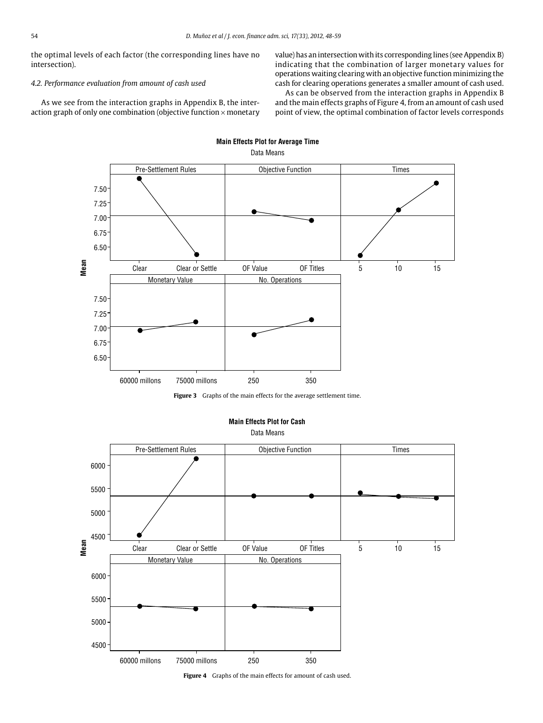**Main Effects Plot for Average Time**

the optimal levels of each factor (the corresponding lines have no intersection).

# *4.2. Performance evaluation from amount of cash used*

As we see from the interaction graphs in Appendix B, the interaction graph of only one combination (objective function  $\times$  monetary value) has an intersection with its corresponding lines (see Appendix B) indicating that the combination of larger monetary values for operations waiting clearing with an objective function minimizing the cash for clearing operations generates a smaller amount of cash used.

As can be observed from the interaction graphs in Appendix B and the main effects graphs of Figure 4, from an amount of cash used point of view, the optimal combination of factor levels corresponds



**Figure 3** Graphs of the main effects for the average settlement time.



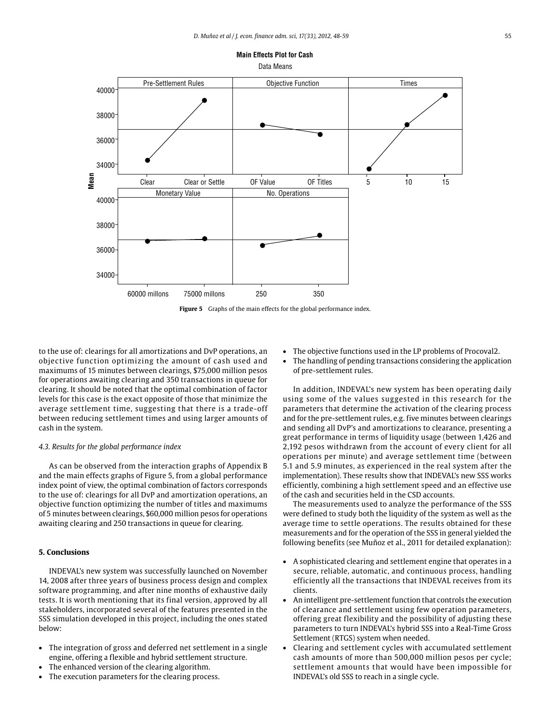

**Main Effects Plot for Cash**

**Figure 5** Graphs of the main effects for the global performance index.

to the use of: clearings for all amortizations and DvP operations, an objective function optimizing the amount of cash used and maximums of 15 minutes between clearings, \$75,000 million pesos for operations awaiting clearing and 350 transactions in queue for clearing. It should be noted that the optimal combination of factor levels for this case is the exact opposite of those that minimize the average settlement time, suggesting that there is a trade-off between reducing settlement times and using larger amounts of cash in the system.

#### *4.3. Results for the global performance index*

As can be observed from the interaction graphs of Appendix B and the main effects graphs of Figure 5, from a global performance index point of view, the optimal combination of factors corresponds to the use of: clearings for all DvP and amortization operations, an objective function optimizing the number of titles and maximums of 5 minutes between clearings, \$60,000 million pesos for operations awaiting clearing and 250 transactions in queue for clearing.

# **5. Conclusions**

INDEVAL's new system was successfully launched on November 14, 2008 after three years of business process design and complex software programming, and after nine months of exhaustive daily tests. It is worth mentioning that its final version, approved by all stakeholders, incorporated several of the features presented in the SSS simulation developed in this project, including the ones stated below:

- The integration of gross and deferred net settlement in a single engine, offering a flexible and hybrid settlement structure.
- The enhanced version of the clearing algorithm.
- The execution parameters for the clearing process.
- The objective functions used in the LP problems of Procoval2.
- The handling of pending transactions considering the application of pre-settlement rules.

In addition, INDEVAL's new system has been operating daily using some of the values suggested in this research for the parameters that determine the activation of the clearing process and for the pre-settlement rules, e.g. five minutes between clearings and sending all DvP's and amortizations to clearance, presenting a great performance in terms of liquidity usage (between 1,426 and 2,192 pesos withdrawn from the account of every client for all operations per minute) and average settlement time (between 5.1 and 5.9 minutes, as experienced in the real system after the implementation). These results show that INDEVAL's new SSS works efficiently, combining a high settlement speed and an effective use of the cash and securities held in the CSD accounts.

The measurements used to analyze the performance of the SSS were defined to study both the liquidity of the system as well as the average time to settle operations. The results obtained for these measurements and for the operation of the SSS in general yielded the following benefits (see Muñoz et al., 2011 for detailed explanation):

- A sophisticated clearing and settlement engine that operates in a secure, reliable, automatic, and continuous process, handling efficiently all the transactions that INDEVAL receives from its clients.
- An intelligent pre-settlement function that controls the execution of clearance and settlement using few operation parameters, offering great flexibility and the possibility of adjusting these parameters to turn INDEVAL's hybrid SSS into a Real-Time Gross Settlement (RTGS) system when needed.
- Clearing and settlement cycles with accumulated settlement cash amounts of more than 500,000 million pesos per cycle; settlement amounts that would have been impossible for INDEVAL's old SSS to reach in a single cycle.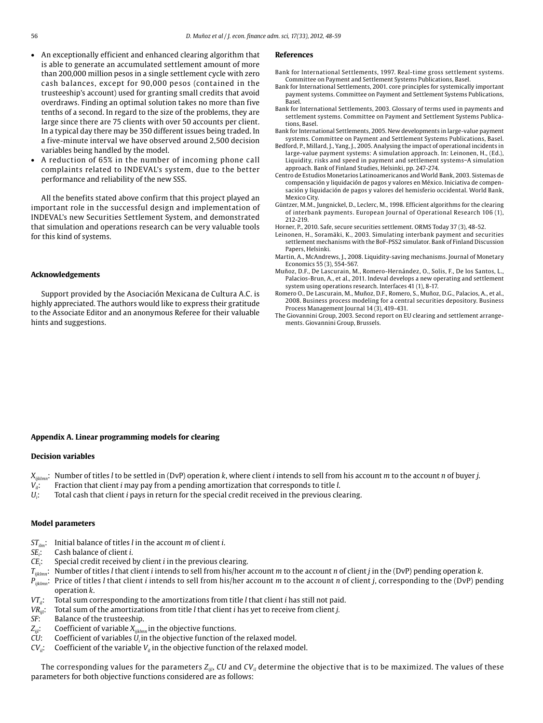- An exceptionally efficient and enhanced clearing algorithm that is able to generate an accumulated settlement amount of more than 200,000 million pesos in a single settlement cycle with zero cash balances, except for 90,000 pesos (contained in the trusteeship's account) used for granting small credits that avoid overdraws. Finding an optimal solution takes no more than five tenths of a second. In regard to the size of the problems, they are large since there are 75 clients with over 50 accounts per client. In a typical day there may be 350 different issues being traded. In a five-minute interval we have observed around 2,500 decision variables being handled by the model.
- A reduction of 65% in the number of incoming phone call complaints related to INDEVAL's system, due to the better performance and reliability of the new SSS.

All the benefits stated above confirm that this project played an important role in the successful design and implementation of INDEVAL's new Securities Settlement System, and demonstrated that simulation and operations research can be very valuable tools for this kind of systems.

#### **Acknowledgements**

Support provided by the Asociación Mexicana de Cultura A.C. is highly appreciated. The authors would like to express their gratitude to the Associate Editor and an anonymous Referee for their valuable hints and suggestions.

#### **References**

- Bank for International Settlements, 1997. Real-time gross settlement systems. Committee on Payment and Settlement Systems Publications, Basel.
- Bank for International Settlements, 2001. core principles for systemically important payment systems. Committee on Payment and Settlement Systems Publications, Basel.
- Bank for International Settlements, 2003. Glossary of terms used in payments and settlement systems. Committee on Payment and Settlement Systems Publications, Basel.
- Bank for International Settlements, 2005. New developments in large-value payment systems. Committee on Payment and Settlement Systems Publications, Basel.
- Bedford, P., Millard, J., Yang, J., 2005. Analysing the impact of operational incidents in large-value payment systems: A simulation approach. In: Leinonen, H., (Ed.), Liquidity, risks and speed in payment and settlement systems−A simulation approach. Bank of Finland Studies, Helsinki, pp. 247-274.
- Centro de Estudios Monetarios Latinoamericanos and World Bank, 2003. Sistemas de compensación y liquidación de pagos y valores en México. Iniciativa de compensación y liquidación de pagos y valores del hemisferio occidental. World Bank, Mexico City.
- Güntzer, M.M., Jungnickel, D., Leclerc, M., 1998. Efficient algorithms for the clearing of interbank payments. European Journal of Operational Research 106 (1), 212-219.
- Horner, P., 2010. Safe, secure securities settlement. ORMS Today 37 (3), 48-52.
- Leinonen, H., Soramäki, K., 2003. Simulating interbank payment and securities settlement mechanisms with the BoF-PSS2 simulator. Bank of Finland Discussion Papers, Helsinki.
- Martin, A., McAndrews, J., 2008. Liquidity-saving mechanisms. Journal of Monetary Economics 55 (3), 554-567.
- Muñoz, D.F., De Lascurain, M., Romero-Hernández, O., Solis, F., De los Santos, L., Palacios-Brun, A., et al., 2011. Indeval develops a new operating and settlement system using operations research. Interfaces 41 (1), 8-17.
- Romero O., De Lascurain, M., Muñoz, D.F., Romero, S., Muñoz, D.G., Palacios, A., et al., 2008. Business process modeling for a central securities depository. Business Process Management Journal 14 (3), 419-431.
- The Giovannini Group, 2003. Second report on EU clearing and settlement arrangements. Giovannini Group, Brussels.

#### **Appendix A. Linear programming models for clearing**

#### **Decision variables**

*Xijklmn*: Number of titles *l* to be settled in (DvP) operation *k*, where client *i* intends to sell from his account *m* to the account *n* of buyer *j*.

- *Vil*: Fraction that client *i* may pay from a pending amortization that corresponds to title *l*.
- *Ui* : Total cash that client *i* pays in return for the special credit received in the previous clearing.

#### **Model parameters**

- *ST*<sub>*ilm*</sub>: Initial balance of titles *l* in the account *m* of client *i*.
- *SE<sup>i</sup>* : Cash balance of client *i*.
- *CE<sup>i</sup>* : Special credit received by client *i* in the previous clearing.
- $T_{iklmn}$ : Number of titles *l* that client *i* intends to sell from his/her account *m* to the account *n* of client *j* in the (DvP) pending operation *k*.
- *Pijklmn*: Price of titles *l* that client *i* intends to sell from his/her account *m* to the account *n* of client *j*, corresponding to the (DvP) pending operation *k*.
- *VTil*: Total sum corresponding to the amortizations from title *l* that client *i* has still not paid.
- *VRijl*: Total sum of the amortizations from title *l* that client *i* has yet to receive from client *j.*
- *SF*: Balance of the trusteeship.
- *Zijl*: Coefficient of variable *Xijklmn* in the objective functions.
- *CU*: Coefficient of variables *Ui* in the objective function of the relaxed model.
- $CV_{ii}$ : Coefficient of the variable  $V_{ii}$  in the objective function of the relaxed model.

The corresponding values for the parameters  $Z_{ij}$ , *CU* and  $CV_{ij}$  determine the objective that is to be maximized. The values of these parameters for both objective functions considered are as follows: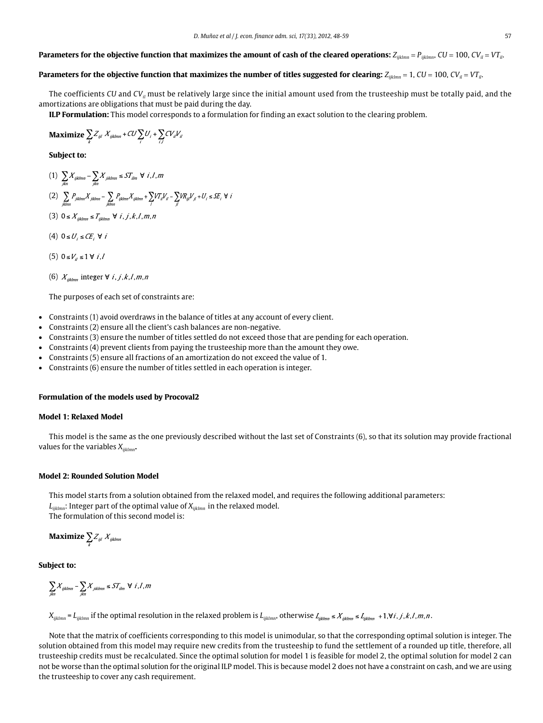**Parameters for the objective function that maximizes the amount of cash of the cleared operations:**  $Z_{iklmn} = P_{iklmn}$ **,**  $CU = 100$ **,**  $CV_{il} = VI_{il}$ **.** 

# **Parameters for the objective function that maximizes the number of titles suggested for clearing:**  $Z_{ijklmn} = 1$ **,**  $CU = 100$ **,**  $CV_{il} = VI_{il}$ **.**

The coefficients *CU* and *CV*<sub>*ii*</sub> must be relatively large since the initial amount used from the trusteeship must be totally paid, and the amortizations are obligations that must be paid during the day.

**ILP Formulation:** This model corresponds to a formulation for finding an exact solution to the clearing problem.

$$
\textbf{Maximize } \sum_{\mu} Z_{\textit{ijl}} \, X_{\textit{ijklmn}} + CU \sum_{i} U_i + \sum_{i} CV_{\textit{ij}} V_{\textit{ij}}
$$

**Subject to:**

$$
\begin{aligned} \text{(1)} \quad & \sum_{jkm} X_{ijklmn} - \sum_{jkm} X_{jiklmn} \leq ST_{ilm} \ \forall \ i, l, m \\ \text{(2)} \quad & \sum_{jklmn} P_{jiklmn} X_{jiklmn} - \sum_{jklmn} P_{ijikmn} X_{ijikmn} + \sum_{l} V T_{il} V_{il} - \sum_{jl} V R_{ijl} V_{jl} + U_i \leq SE_i \ \forall \ i \end{aligned}
$$

$$
(3) \ \ 0 \le X_{ijklmn} \le T_{ijklmn} \ \ \forall \ \ i,j,k,l,m,n
$$

(4)  $0 \le U_i \le CE_i \forall i$ 

$$
(5) 0 \le V_{ij} \le 1 \ \forall \ i, l
$$

(6)  $X_{ijklmn}$  integer  $\forall i, j, k, l, m, n$ 

The purposes of each set of constraints are:

- Constraints (1) avoid overdraws in the balance of titles at any account of every client.
- Constraints (2) ensure all the client's cash balances are non-negative.
- Constraints (3) ensure the number of titles settled do not exceed those that are pending for each operation.
- Constraints (4) prevent clients from paying the trusteeship more than the amount they owe.
- Constraints (5) ensure all fractions of an amortization do not exceed the value of 1.
- Constraints (6) ensure the number of titles settled in each operation is integer.

## **Formulation of the models used by Procoval2**

#### **Model 1: Relaxed Model**

This model is the same as the one previously described without the last set of Constraints (6), so that its solution may provide fractional values for the variables *Xijklmn***.**

# **Model 2: Rounded Solution Model**

This model starts from a solution obtained from the relaxed model, and requires the following additional parameters: *Lijklmn*: Integer part of the optimal value of *Xijklmn* in the relaxed model. The formulation of this second model is:

$$
\textbf{Maximize} \sum_{k} Z_{\textit{ijl}} \; X_{\textit{ijklmn}}
$$

**Subject to:**

$$
\sum_{jkn} X_{ijklmn} - \sum_{jkn} X_{jiklmn} \le ST_{ilm} \ \forall \ i, l, m
$$

 $X_{ijklmn} = L_{ijklmn}$  if the optimal resolution in the relaxed problem is  $L_{ijklmn}$ , otherwise  $L_{ijklmn} \le X_{ijklmn} \le L_{ijklmn} + 1, \forall i, j, k, l, m, n$ .

Note that the matrix of coefficients corresponding to this model is unimodular, so that the corresponding optimal solution is integer. The solution obtained from this model may require new credits from the trusteeship to fund the settlement of a rounded up title, therefore, all trusteeship credits must be recalculated. Since the optimal solution for model 1 is feasible for model 2, the optimal solution for model 2 can not be worse than the optimal solution for the original ILP model. This is because model 2 does not have a constraint on cash, and we are using the trusteeship to cover any cash requirement.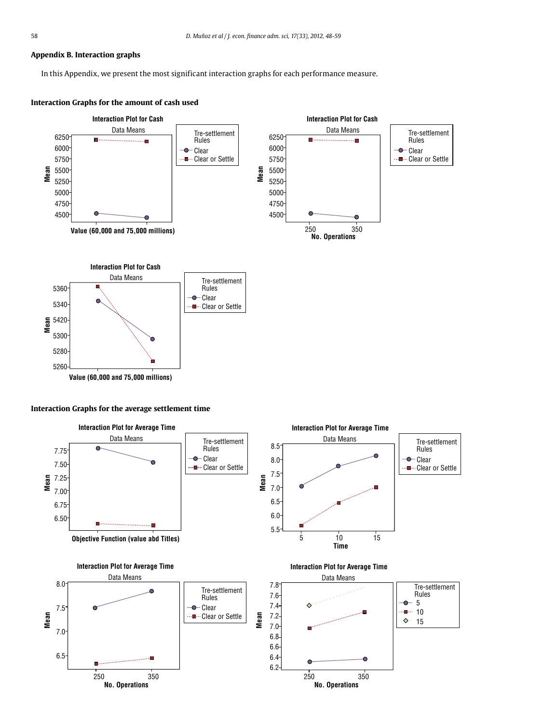# **Appendix B. Interaction graphs**

In this Appendix, we present the most significant interaction graphs for each performance measure.





# **Interaction Graphs for the average settlement time**

**Value (60,000 and 75,000 millions)**

5280 5260